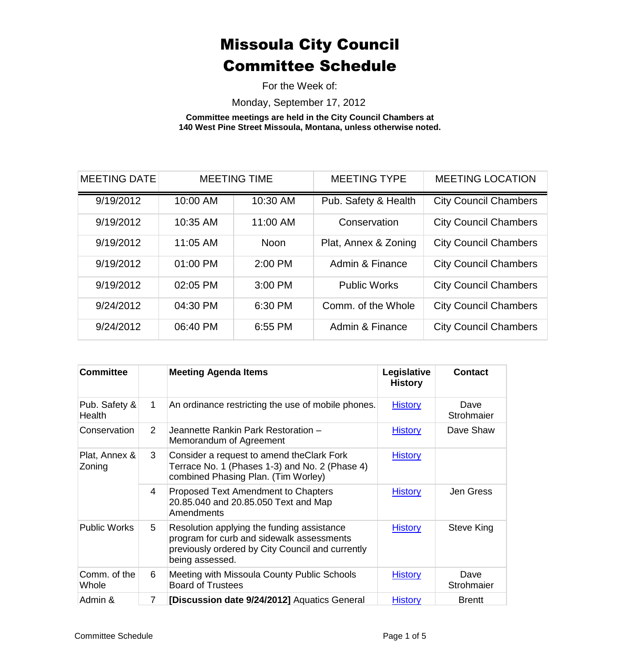For the Week of:

Monday, September 17, 2012

**Committee meetings are held in the City Council Chambers at 140 West Pine Street Missoula, Montana, unless otherwise noted.**

| <b>MEETING DATE</b> | <b>MEETING TIME</b> |             | <b>MEETING TYPE</b>  | <b>MEETING LOCATION</b>      |
|---------------------|---------------------|-------------|----------------------|------------------------------|
| 9/19/2012           | 10:00 AM            | 10:30 AM    | Pub. Safety & Health | <b>City Council Chambers</b> |
| 9/19/2012           | 10:35 AM            | 11:00 AM    | Conservation         | <b>City Council Chambers</b> |
| 9/19/2012           | 11:05 AM            | <b>Noon</b> | Plat, Annex & Zoning | <b>City Council Chambers</b> |
| 9/19/2012           | 01:00 PM            | $2:00$ PM   | Admin & Finance      | <b>City Council Chambers</b> |
| 9/19/2012           | 02:05 PM            | 3:00 PM     | <b>Public Works</b>  | <b>City Council Chambers</b> |
| 9/24/2012           | 04:30 PM            | 6:30 PM     | Comm. of the Whole   | <b>City Council Chambers</b> |
| 9/24/2012           | 06:40 PM            | 6:55 PM     | Admin & Finance      | <b>City Council Chambers</b> |

| <b>Committee</b>               |                | <b>Meeting Agenda Items</b>                                                                                                                                    | Legislative<br><b>History</b> | <b>Contact</b>     |
|--------------------------------|----------------|----------------------------------------------------------------------------------------------------------------------------------------------------------------|-------------------------------|--------------------|
| Pub. Safety &<br><b>Health</b> | $\mathbf 1$    | An ordinance restricting the use of mobile phones.                                                                                                             | <b>History</b>                | Dave<br>Strohmaier |
| Conservation                   | $\overline{2}$ | Jeannette Rankin Park Restoration -<br>Memorandum of Agreement                                                                                                 | <b>History</b>                | Dave Shaw          |
| Plat, Annex &<br>Zoning        | 3              | Consider a request to amend the Clark Fork<br>Terrace No. 1 (Phases 1-3) and No. 2 (Phase 4)<br>combined Phasing Plan. (Tim Worley)                            | <b>History</b>                |                    |
|                                | 4              | Proposed Text Amendment to Chapters<br>20.85.040 and 20.85.050 Text and Map<br>Amendments                                                                      | <b>History</b>                | Jen Gress          |
| <b>Public Works</b>            | 5              | Resolution applying the funding assistance<br>program for curb and sidewalk assessments<br>previously ordered by City Council and currently<br>being assessed. | <b>History</b>                | Steve King         |
| Comm. of the<br>Whole          | 6              | Meeting with Missoula County Public Schools<br><b>Board of Trustees</b>                                                                                        | <b>History</b>                | Dave<br>Strohmaier |
| Admin &                        | 7              | [Discussion date 9/24/2012] Aquatics General                                                                                                                   | <b>History</b>                | <b>Brentt</b>      |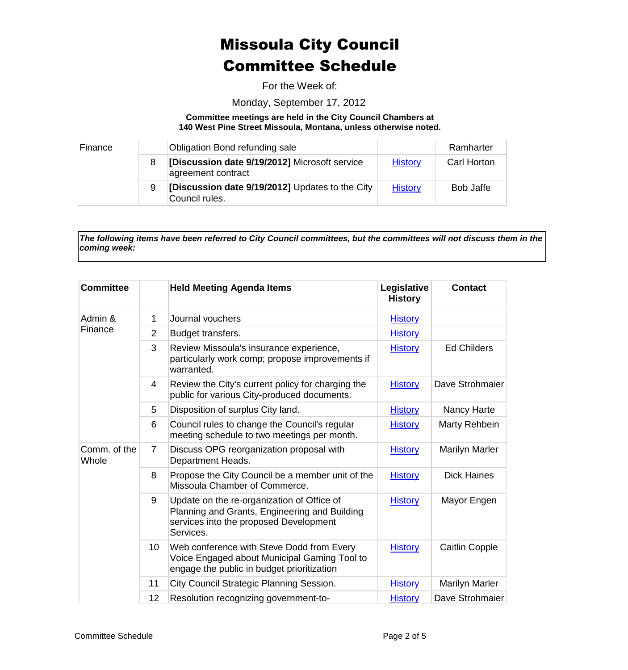For the Week of:

Monday, September 17, 2012

**Committee meetings are held in the City Council Chambers at 140 West Pine Street Missoula, Montana, unless otherwise noted.**

| Finance |   | Obligation Bond refunding sale                                      |                | Ramharter        |
|---------|---|---------------------------------------------------------------------|----------------|------------------|
|         |   | [Discussion date 9/19/2012] Microsoft service<br>agreement contract | <b>History</b> | Carl Horton      |
|         | 9 | [Discussion date 9/19/2012] Updates to the City<br>Council rules.   | <b>History</b> | <b>Bob Jaffe</b> |

*The following items have been referred to City Council committees, but the committees will not discuss them in the coming week:*

| <b>Committee</b>      |                 | <b>Held Meeting Agenda Items</b>                                                                                                                   | Legislative<br><b>History</b> | <b>Contact</b>        |
|-----------------------|-----------------|----------------------------------------------------------------------------------------------------------------------------------------------------|-------------------------------|-----------------------|
| Admin &<br>Finance    | 1               | Journal vouchers                                                                                                                                   | <b>History</b>                |                       |
|                       | $\overline{2}$  | Budget transfers.                                                                                                                                  | <b>History</b>                |                       |
|                       | 3               | Review Missoula's insurance experience,<br>particularly work comp; propose improvements if<br>warranted.                                           | <b>History</b>                | <b>Ed Childers</b>    |
|                       | 4               | Review the City's current policy for charging the<br>public for various City-produced documents.                                                   | <b>History</b>                | Dave Strohmaier       |
|                       | 5               | Disposition of surplus City land.                                                                                                                  | <b>History</b>                | Nancy Harte           |
|                       | 6               | Council rules to change the Council's regular<br>meeting schedule to two meetings per month.                                                       | <b>History</b>                | Marty Rehbein         |
| Comm. of the<br>Whole | 7               | Discuss OPG reorganization proposal with<br>Department Heads.                                                                                      | <b>History</b>                | <b>Marilyn Marler</b> |
|                       | 8               | Propose the City Council be a member unit of the<br>Missoula Chamber of Commerce.                                                                  | <b>History</b>                | <b>Dick Haines</b>    |
|                       | 9               | Update on the re-organization of Office of<br>Planning and Grants, Engineering and Building<br>services into the proposed Development<br>Services. | <b>History</b>                | Mayor Engen           |
|                       | 10 <sup>°</sup> | Web conference with Steve Dodd from Every<br>Voice Engaged about Municipal Gaming Tool to<br>engage the public in budget prioritization            | <b>History</b>                | <b>Caitlin Copple</b> |
|                       | 11              | City Council Strategic Planning Session.                                                                                                           | <b>History</b>                | <b>Marilyn Marler</b> |
|                       | 12              | Resolution recognizing government-to-                                                                                                              | <b>History</b>                | Dave Strohmaier       |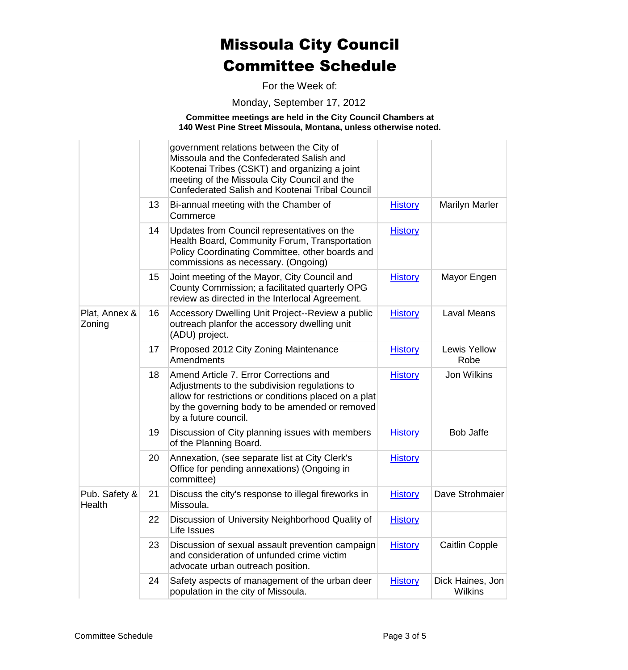For the Week of:

Monday, September 17, 2012

**Committee meetings are held in the City Council Chambers at 140 West Pine Street Missoula, Montana, unless otherwise noted.**

|                         |    | government relations between the City of<br>Missoula and the Confederated Salish and<br>Kootenai Tribes (CSKT) and organizing a joint<br>meeting of the Missoula City Council and the                                      |                |                                    |
|-------------------------|----|----------------------------------------------------------------------------------------------------------------------------------------------------------------------------------------------------------------------------|----------------|------------------------------------|
|                         |    | <b>Confederated Salish and Kootenai Tribal Council</b>                                                                                                                                                                     |                |                                    |
|                         | 13 | Bi-annual meeting with the Chamber of<br>Commerce                                                                                                                                                                          | <b>History</b> | <b>Marilyn Marler</b>              |
|                         | 14 | Updates from Council representatives on the<br>Health Board, Community Forum, Transportation<br>Policy Coordinating Committee, other boards and<br>commissions as necessary. (Ongoing)                                     | <b>History</b> |                                    |
|                         | 15 | Joint meeting of the Mayor, City Council and<br>County Commission; a facilitated quarterly OPG<br>review as directed in the Interlocal Agreement.                                                                          | <b>History</b> | Mayor Engen                        |
| Plat, Annex &<br>Zoning | 16 | Accessory Dwelling Unit Project--Review a public<br>outreach planfor the accessory dwelling unit<br>(ADU) project.                                                                                                         | <b>History</b> | <b>Laval Means</b>                 |
|                         | 17 | Proposed 2012 City Zoning Maintenance<br>Amendments                                                                                                                                                                        | <b>History</b> | Lewis Yellow<br>Robe               |
|                         | 18 | Amend Article 7. Error Corrections and<br>Adjustments to the subdivision regulations to<br>allow for restrictions or conditions placed on a plat<br>by the governing body to be amended or removed<br>by a future council. | <b>History</b> | <b>Jon Wilkins</b>                 |
|                         | 19 | Discussion of City planning issues with members<br>of the Planning Board.                                                                                                                                                  | <b>History</b> | <b>Bob Jaffe</b>                   |
|                         | 20 | Annexation, (see separate list at City Clerk's<br>Office for pending annexations) (Ongoing in<br>committee)                                                                                                                | <b>History</b> |                                    |
| Pub. Safety &<br>Health | 21 | Discuss the city's response to illegal fireworks in<br>Missoula.                                                                                                                                                           | <b>History</b> | Dave Strohmaier                    |
|                         | 22 | Discussion of University Neighborhood Quality of<br>Life Issues                                                                                                                                                            | <b>History</b> |                                    |
|                         | 23 | Discussion of sexual assault prevention campaign<br>and consideration of unfunded crime victim<br>advocate urban outreach position.                                                                                        | <b>History</b> | <b>Caitlin Copple</b>              |
|                         | 24 | Safety aspects of management of the urban deer<br>population in the city of Missoula.                                                                                                                                      | <b>History</b> | Dick Haines, Jon<br><b>Wilkins</b> |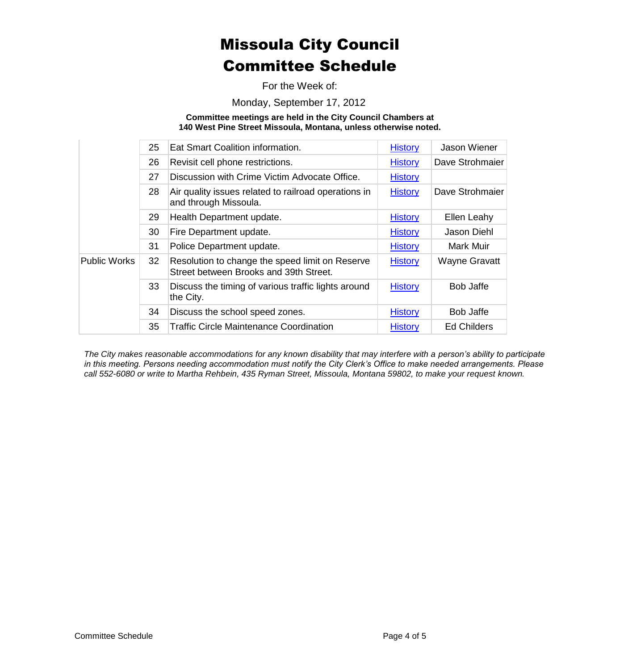For the Week of:

Monday, September 17, 2012

**Committee meetings are held in the City Council Chambers at 140 West Pine Street Missoula, Montana, unless otherwise noted.**

|                     | 25 | Eat Smart Coalition information.                                                          | <b>History</b> | Jason Wiener         |
|---------------------|----|-------------------------------------------------------------------------------------------|----------------|----------------------|
|                     | 26 | Revisit cell phone restrictions.                                                          | <b>History</b> | Dave Strohmaier      |
|                     | 27 | Discussion with Crime Victim Advocate Office.                                             | <b>History</b> |                      |
|                     | 28 | Air quality issues related to railroad operations in<br>and through Missoula.             | <b>History</b> | Dave Strohmaier      |
|                     | 29 | Health Department update.                                                                 | <b>History</b> | Ellen Leahy          |
|                     | 30 | Fire Department update.                                                                   | <b>History</b> | Jason Diehl          |
|                     | 31 | Police Department update.                                                                 | <b>History</b> | Mark Muir            |
| <b>Public Works</b> | 32 | Resolution to change the speed limit on Reserve<br>Street between Brooks and 39th Street. | <b>History</b> | <b>Wayne Gravatt</b> |
|                     | 33 | Discuss the timing of various traffic lights around<br>the City.                          | <b>History</b> | <b>Bob Jaffe</b>     |
|                     | 34 | Discuss the school speed zones.                                                           | <b>History</b> | Bob Jaffe            |
|                     | 35 | <b>Traffic Circle Maintenance Coordination</b>                                            | <b>History</b> | <b>Ed Childers</b>   |

*The City makes reasonable accommodations for any known disability that may interfere with a person's ability to participate in this meeting. Persons needing accommodation must notify the City Clerk's Office to make needed arrangements. Please call 552-6080 or write to Martha Rehbein, 435 Ryman Street, Missoula, Montana 59802, to make your request known.*